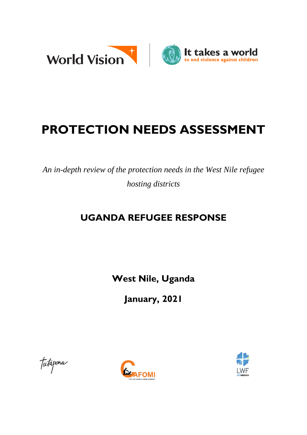

# **PROTECTION NEEDS ASSESSMENT**

*An in-depth review of the protection needs in the West Nile refugee hosting districts*

# **UGANDA REFUGEE RESPONSE**

**West Nile, Uganda**

**January, 2021**

Tutapona



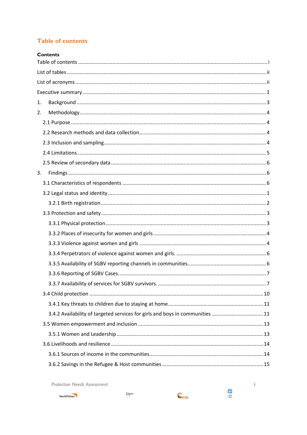## <span id="page-1-0"></span>**Table of contents**

|    | <b>Contents</b>                                                              |
|----|------------------------------------------------------------------------------|
|    |                                                                              |
|    |                                                                              |
|    |                                                                              |
|    |                                                                              |
| 1. |                                                                              |
| 2. |                                                                              |
|    |                                                                              |
|    |                                                                              |
|    |                                                                              |
|    |                                                                              |
|    |                                                                              |
| 3. |                                                                              |
|    |                                                                              |
|    |                                                                              |
|    |                                                                              |
|    |                                                                              |
|    |                                                                              |
|    |                                                                              |
|    |                                                                              |
|    |                                                                              |
|    |                                                                              |
|    |                                                                              |
|    | 3.3.7 Availability of services for SGBV survivors.<br>. 7                    |
|    |                                                                              |
|    |                                                                              |
|    | 3.4.2 Availability of targeted services for girls and boys in communities 11 |
|    |                                                                              |
|    |                                                                              |
|    |                                                                              |
|    |                                                                              |
|    |                                                                              |

**Protection Needs Assessment** 







 $\sim$ i $\,$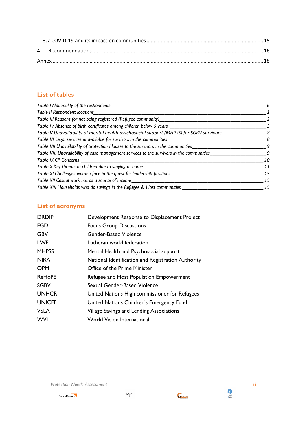## <span id="page-2-0"></span>**List of tables**

| Table I Nationality of the respondents                                                    | 6  |
|-------------------------------------------------------------------------------------------|----|
| Table II Respondent locations                                                             |    |
| Table III Reasons for not being registered (Refugee community)                            |    |
| Table IV Absence of birth certificates among children below 5 years ___                   | 3  |
| Table V Unavailability of mental health psychosocial support (MHPSS) for SGBV survivors   | 8  |
| Table VI Legal services unavailable for survivors in the communities                      | 8  |
| Table VII Unavailability of protection Houses to the survivors in the communities         | 9  |
| Table VIII Unavailability of case management services to the survivors in the communities | 9  |
| <b>Table IX CP Concerns</b>                                                               | 10 |
| Table X Key threats to children due to staying at home ___                                | 11 |
| Table XI Challenges women face in the quest for leadership positions _                    | 13 |
| Table XII Casual work not as a source of income                                           | 15 |
| Table XIII Households who do savings in the Refugee & Host communities                    | 15 |

# <span id="page-2-1"></span>**List of acronyms**

| <b>DRDIP</b>  | Development Response to Displacement Project       |
|---------------|----------------------------------------------------|
| <b>FGD</b>    | <b>Focus Group Discussions</b>                     |
| <b>GBV</b>    | Gender-Based Violence                              |
| <b>LWF</b>    | Lutheran world federation                          |
| <b>MHPSS</b>  | Mental Health and Psychosocial support             |
| <b>NIRA</b>   | National Identification and Registration Authority |
| <b>OPM</b>    | Office of the Prime Minister                       |
| <b>ReHoPE</b> | Refugee and Host Population Empowerment            |
| <b>SGBV</b>   | Sexual Gender-Based Violence                       |
| <b>UNHCR</b>  | United Nations High commissioner for Refugees      |
| <b>UNICEF</b> | United Nations Children's Emergency Fund           |
| <b>VSLA</b>   | Village Savings and Lending Associations           |
| <b>WVI</b>    | <b>World Vision International</b>                  |

*Protection Needs Assessment* **ii**

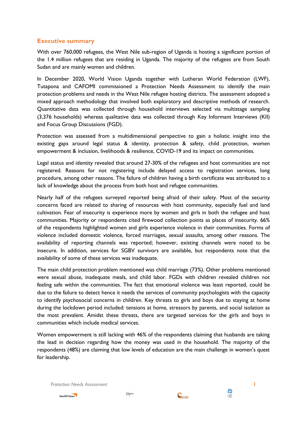## <span id="page-3-0"></span>**Executive summary**

With over 760,000 refugees, the West Nile sub-region of Uganda is hosting a significant portion of the 1.4 million refugees that are residing in Uganda. The majority of the refugees are from South Sudan and are mainly women and children.

In December 2020, World Vision Uganda together with Lutheran World Federation (LWF), Tutapona and CAFOMI commissioned a Protection Needs Assessment to identify the main protection problems and needs in the West Nile refugee hosting districts. The assessment adopted a mixed approach methodology that involved both exploratory and descriptive methods of research. Quantitative data was collected through household interviews selected via multistage sampling (3,376 households) whereas qualitative data was collected through Key Informant Interviews (KII) and Focus Group Discussions (FGD).

Protection was assessed from a multidimensional perspective to gain a holistic insight into the existing gaps around legal status & identity, protection & safety, child protection, women empowerment & inclusion, livelihoods & resilience, COVID-19 and its impact on communities.

Legal status and identity revealed that around 27-30% of the refugees and host communities are not registered. Reasons for not registering include delayed access to registration services, long procedure, among other reasons. The failure of children having a birth certificate was attributed to a lack of knowledge about the process from both host and refugee communities.

Nearly half of the refugees surveyed reported being afraid of their safety. Most of the security concerns faced are related to sharing of resources with host community, especially fuel and land cultivation. Fear of insecurity is experience more by women and girls in both the refugee and host communities. Majority or respondents cited firewood collection points as places of insecurity. 66% of the respondents highlighted women and girls experience violence in their communities. Forms of violence included domestic violence, forced marriages, sexual assaults, among other reasons. The availability of reporting channels was reported; however, existing channels were noted to be insecure. In addition, services for SGBV survivors are available, but respondents note that the availability of some of these services was inadequate.

The main child protection problem mentioned was child marriage (73%). Other problems mentioned were sexual abuse, inadequate meals, and child labor. FGDs with children revealed children not feeling safe within the communities. The fact that emotional violence was least reported, could be due to the failure to detect hence it needs the services of community psychologists with the capacity to identify psychosocial concerns in children. Key threats to girls and boys due to staying at home during the lockdown period included: tensions at home, stressors by parents, and social isolation as the most prevalent. Amidst these threats, there are targeted services for the girls and boys in communities which include medical services.

Women empowerment is still lacking with 46% of the respondents claiming that husbands are taking the lead in decision regarding how the money was used in the household. The majority of the respondents (48%) are claiming that low levels of education are the main challenge in women's quest for leadership.

*Protection Needs Assessment* **1**



*futapma* 

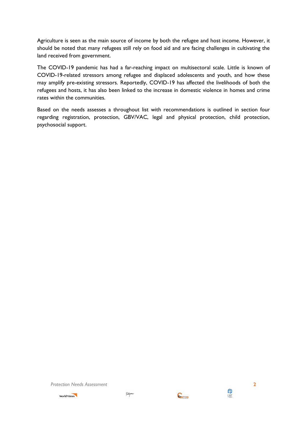Agriculture is seen as the main source of income by both the refugee and host income. However, it should be noted that many refugees still rely on food aid and are facing challenges in cultivating the land received from government.

The COVID-19 pandemic has had a far-reaching impact on multisectoral scale. Little is known of COVID-19-related stressors among refugee and displaced adolescents and youth, and how these may amplify pre-existing stressors. Reportedly, COVID-19 has affected the livelihoods of both the refugees and hosts, it has also been linked to the increase in domestic violence in homes and crime rates within the communities.

Based on the needs assesses a throughout list with recommendations is outlined in section four regarding registration, protection, GBV/VAC, legal and physical protection, child protection, psychosocial support.

*Protection Needs Assessment* **2**





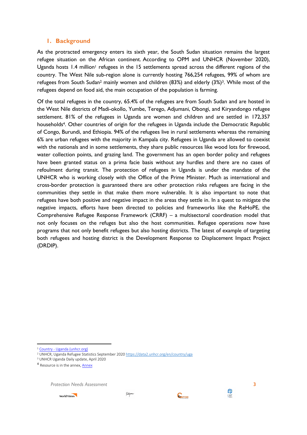## <span id="page-5-0"></span>**1. Background**

As the protracted emergency enters its sixth year, the South Sudan situation remains the largest refugee situation on the African continent. According to OPM and UNHCR (November 2020), Uganda hosts 1.4 million<sup>1</sup> refugees in the 15 settlements spread across the different regions of the country. The West Nile sub-region alone is currently hosting 766,254 refugees, 99% of whom are refugees from South Sudan<sup>2</sup> mainly women and children (83%) and elderly (3%)3. While most of the refugees depend on food aid, the main occupation of the population is farming.

Of the total refugees in the country, 65.4% of the refugees are from South Sudan and are hosted in the West Nile districts of Madi-okollo, Yumbe, Terego, Adjumani, Obongi, and Kiryandongo refugee settlement. 81% of the refugees in Uganda are women and children and are settled in 172,357 households<sup>4</sup>. Other countries of origin for the refugees in Uganda include the Democratic Republic of Congo, Burundi, and Ethiopia. 94% of the refugees live in rural settlements whereas the remaining 6% are urban refugees with the majority in Kampala city. Refugees in Uganda are allowed to coexist with the nationals and in some settlements, they share public resources like wood lots for firewood, water collection points, and grazing land. The government has an open border policy and refugees have been granted status on a prima facie basis without any hurdles and there are no cases of refoulment during transit. The protection of refugees in Uganda is under the mandate of the UNHCR who is working closely with the Office of the Prime Minister. Much as international and cross-border protection is guaranteed there are other protection risks refugees are facing in the communities they settle in that make them more vulnerable. It is also important to note that refugees have both positive and negative impact in the areas they settle in. In a quest to mitigate the negative impacts, efforts have been directed to policies and frameworks like the ReHoPE, the Comprehensive Refugee Response Framework (CRRF) – a multisectoral coordination model that not only focuses on the refuges but also the host communities. Refugee operations now have programs that not only benefit refugees but also hosting districts. The latest of example of targeting both refugees and hosting district is the Development Response to Displacement Impact Project (DRDIP).

**.** 

*Protection Needs Assessment* **3**







<sup>1</sup> Country - [Uganda \(unhcr.org\)](https://data2.unhcr.org/en/country/uga)

<sup>2</sup> UNHCR, Uganda Refugee Statistics September 202[0 https://data2.unhcr.org/en/country/uga](https://data2.unhcr.org/en/country/uga)

<sup>3</sup> UNHCR Uganda Daily update, April 2020

<sup>&</sup>lt;sup>4</sup> Resource is in the annex, **Annex**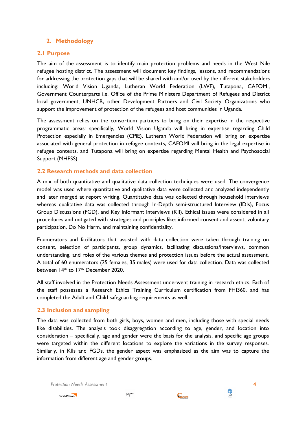## <span id="page-6-0"></span>**2. Methodology**

#### <span id="page-6-1"></span>**2.1 Purpose**

The aim of the assessment is to identify main protection problems and needs in the West Nile refugee hosting district. The assessment will document key findings, lessons, and recommendations for addressing the protection gaps that will be shared with and/or used by the different stakeholders including: World Vision Uganda, Lutheran World Federation (LWF), Tutapona, CAFOMI, Government Counterparts i.e. Office of the Prime Ministers Department of Refugees and District local government, UNHCR, other Development Partners and Civil Society Organizations who support the improvement of protection of the refugees and host communities in Uganda.

The assessment relies on the consortium partners to bring on their expertise in the respective programmatic areas: specifically, World Vision Uganda will bring in expertise regarding Child Protection especially in Emergencies (CPiE), Lutheran World Federation will bring on expertise associated with general protection in refugee contexts, CAFOMI will bring in the legal expertise in refugee contexts, and Tutapona will bring on expertise regarding Mental Health and Psychosocial Support (MHPSS)

## <span id="page-6-2"></span>**2.2 Research methods and data collection**

A mix of both quantitative and qualitative data collection techniques were used. The convergence model was used where quantitative and qualitative data were collected and analyzed independently and later merged at report writing. Quantitative data was collected through household interviews whereas qualitative data was collected through In-Depth semi-structured Interview (IDIs), Focus Group Discussions (FGD), and Key Informant Interviews (KII). Ethical issues were considered in all procedures and mitigated with strategies and principles like: informed consent and assent, voluntary participation, Do No Harm, and maintaining confidentiality.

Enumerators and facilitators that assisted with data collection were taken through training on consent, selection of participants, group dynamics, facilitating discussions/interviews, common understanding, and roles of the various themes and protection issues before the actual assessment. A total of 60 enumerators (25 females, 35 males) were used for data collection. Data was collected between 14th to 17th December 2020.

All staff involved in the Protection Needs Assessment underwent training in research ethics. Each of the staff possesses a Research Ethics Training Curriculum certification from FHI360, and has completed the Adult and Child safeguarding requirements as well.

#### <span id="page-6-3"></span>**2.3 Inclusion and sampling**

The data was collected from both girls, boys, women and men, including those with special needs like disabilities. The analysis took disaggregation according to age, gender, and location into consideration – specifically, age and gender were the basis for the analysis, and specific age groups were targeted within the different locations to explore the variations in the survey responses. Similarly, in KIIs and FGDs, the gender aspect was emphasized as the aim was to capture the information from different age and gender groups.

*Protection Needs Assessment* **4**



*futapma* 



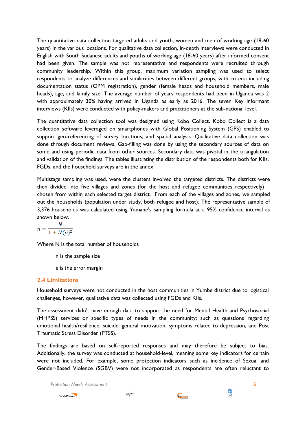The quantitative data collection targeted adults and youth, women and men of working age (18-60 years) in the various locations. For qualitative data collection, in-depth interviews were conducted in English with South Sudanese adults and youths of working age (18-60 years) after informed consent had been given. The sample was not representative and respondents were recruited through community leadership. Within this group, maximum variation sampling was used to select respondents to analyze differences and similarities between different groups, with criteria including documentation status (OPM registration), gender (female heads and household members, male heads), age, and family size. The average number of years respondents had been in Uganda was 2 with approximately 30% having arrived in Uganda as early as 2016. The seven Key Informant interviews (KIIs) were conducted with policy-makers and practitioners at the sub-national level.

The quantitative data collection tool was designed using Kobo Collect. Kobo Collect is a data collection software leveraged on smartphones with Global Positioning System (GPS) enabled to support geo-referencing of survey locations, and spatial analysis. Qualitative data collection was done through document reviews. Gap-filling was done by using the secondary sources of data on some and using periodic data from other sources. Secondary data was pivotal in the triangulation and validation of the findings. The tables illustrating the distribution of the respondents both for KIIs, FGDs, and the household surveys are in the annex

Multistage sampling was used, were the clusters involved the targeted districts. The districts were then divided into five villages and zones (for the host and refugee communities respectively)  $$ chosen from within each selected target district. From each of the villages and zones, we sampled out the households (population under study, both refugee and host). The representative sample of 3,376 households was calculated using Yamane's sampling formula at a 95% confidence interval as shown below.

$$
n = \frac{N}{1 + N(e)^2}
$$

Where N is the total number of households

- n is the sample size
- e is the error margin

## <span id="page-7-0"></span>**2.4 Limitations**

Household surveys were not conducted in the host communities in Yumbe district due to logistical challenges, however, qualitative data was collected using FGDs and KIIs.

The assessment didn't have enough data to support the need for Mental Health and Psychosocial (MHPSS) services or specific types of needs in the community; such as questions regarding emotional health/resilience, suicide, general motivation, symptoms related to depression, and Post Traumatic Stress Disorder (PTSS).

The findings are based on self-reported responses and may therefore be subject to bias. Additionally, the survey was conducted at household-level, meaning some key indicators for certain were not included. For example, some protection indicators such as incidence of Sexual and Gender-Based Violence (SGBV) were not incorporated as respondents are often reluctant to

*Protection Needs Assessment* **5**







**ENGINE**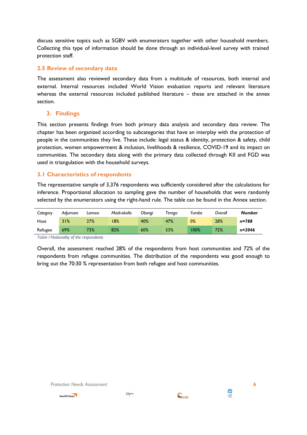discuss sensitive topics such as SGBV with enumerators together with other household members. Collecting this type of information should be done through an individual-level survey with trained protection staff.

### <span id="page-8-0"></span>**2.5 Review of secondary data**

The assessment also reviewed secondary data from a multitude of resources, both internal and external. Internal resources included World Vision evaluation reports and relevant literature whereas the external resources included published literature – these are attached in the annex section.

## <span id="page-8-1"></span>**3. Findings**

This section presents findings from both primary data analysis and secondary data review. The chapter has been organized according to subcategories that have an interplay with the protection of people in the communities they live. These include: legal status & identity, protection & safety, child protection, women empowerment & inclusion, livelihoods & resilience, COVID-19 and its impact on communities. The secondary data along with the primary data collected through KII and FGD was used in triangulation with the household surveys.

#### <span id="page-8-2"></span>**3.1 Characteristics of respondents**

The representative sample of 3,376 respondents was sufficiently considered after the calculations for inference. Proportional allocation to sampling gave the number of households that were randomly selected by the enumerators using the right-hand rule. The table can be found in the Annex section.

| Category | Adiumani | Lamwo | Madi-okollo | Obongi | Terego | Yumbe | Overall | <b>Number</b> |
|----------|----------|-------|-------------|--------|--------|-------|---------|---------------|
| Host     | 31%      | 27%   | 8%          | 40%    | 47%    | 0%    | 28%     | n=788         |
| Refugee  | 69%      | 73%   | 82%         | 60%    | 53%    | 100%  | 72%     | $n = 2046$    |

<span id="page-8-3"></span>*Table I Nationality of the respondents*

Overall, the assessment reached 28% of the respondents from host communities and 72% of the respondents from refugee communities. The distribution of the respondents was good enough to bring out the 70:30 % representation from both refugee and host communities.



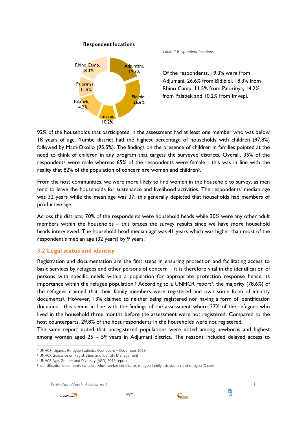

**Respondent locations** 

<span id="page-9-1"></span>*Table II Respondent locations*

Of the respondents, 19.3% were from Adjumani, 26.6% from Bidibidi, 18.3% from Rhino Camp, 11.5% from Palorinya, 14.2% from Palabek and 10.2% from Imvepi.

92% of the households that participated in the assessment had at least one member who was below 18 years of age. Yumbe district had the highest percentage of households with children (97.8%) followed by Madi-Okollo (95.5%). The findings on the presence of children in families pointed at the need to think of children in any program that targets the surveyed districts. Overall, 35% of the respondents were male whereas 65% of the respondents were female - this was in line with the reality that 82% of the population of concern are women and children<sup>5</sup>.

From the host communities, we were more likely to find women in the household to survey, as men tend to leave the households for sustenance and livelihood activities. The respondents' median age was 32 years while the mean age was 37, this generally depicted that households had members of productive age.

Across the districts, 70% of the respondents were household heads while 30% were any other adult members within the households – this braces the survey results since we have more household heads interviewed. The household head median age was 41 years which was higher than most of the respondent's median age (32 years) by 9 years.

## <span id="page-9-0"></span>**3.2 Legal status and identity**

Registration and documentation are the first steps in ensuring protection and facilitating access to basic services by refugees and other persons of concern – it is therefore vital in the identification of persons with specific needs within a population for appropriate protection response hence its importance within the refugee population.<sup>6</sup> According to a UNHCR report<sup>7</sup>, the majority (78.6%) of the refugees claimed that their family members were registered and own some form of identity documents8. However, 13% claimed to neither being registered nor having a form of identification document, this seems in line with the findings of the assessment where 27% of the refugees who lived in the household three months before the assessment were not registered. Compared to the host counterparts, 29.8% of the host respondents in the households were not registered.

The same report noted that unregistered populations were noted among newborns and highest among women aged 25 – 59 years in Adjumani district. The reasons included delayed access to

*Protection Needs Assessment* **1**



1





<sup>5</sup> UNHCR, Uganda Refugee Statistics Dashboard – December 2019

<sup>6</sup> UNHCR Guidance on Registration and Identity Management

<sup>7</sup> UNHCR Age, Gender and Diversity (AGD) 2019 report

<sup>8</sup> Identification documents include asylum seeker certificate, refugee family attestation and refugee ID card.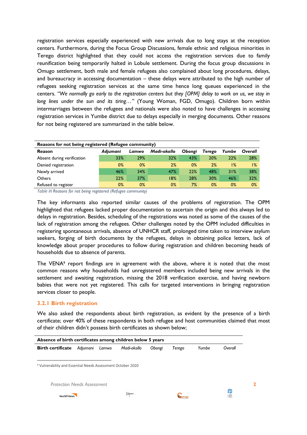registration services especially experienced with new arrivals due to long stays at the reception centers. Furthermore, during the Focus Group Discussions, female ethnic and religious minorities in Terego district highlighted that they could not access the registration services due to family reunification being temporarily halted in Lobule settlement. During the focus group discussions in Omugo settlement, both male and female refugees also complained about long procedures, delays, and bureaucracy in accessing documentation – these delays were attributed to the high number of refugees seeking registration services at the same time hence long queues experienced in the centers. *"We normally go early to the registration centers but they [OPM] delay to work on us, we stay in long lines under the sun and its tiring…"* (Young Woman, FGD, Omugo). Children born within intermarriages between the refugees and nationals were also noted to have challenges in accessing registration services in Yumbe district due to delays especially in merging documents. Other reasons for not being registered are summarized in the table below.

| Reasons for not being registered (Refugee community) |          |       |             |        |        |       |         |  |  |  |  |  |
|------------------------------------------------------|----------|-------|-------------|--------|--------|-------|---------|--|--|--|--|--|
| Reason                                               | Adiumani | Lamwo | Madi-okollo | Obongi | Terego | Yumbe | Overall |  |  |  |  |  |
| Absent during verification                           | 33%      | 29%   | 32%         | 43%    | 20%    | 22%   | 28%     |  |  |  |  |  |
| Denied registration                                  | $0\%$    | $0\%$ | 2%          | $0\%$  | 2%     | ا%    | $1\%$   |  |  |  |  |  |
| Newly arrived                                        | 46%      | 34%   | 47%         | 22%    | 48%    | 31%   | 38%     |  |  |  |  |  |
| Others                                               | 22%      | 37%   | 18%         | 28%    | 30%    | 46%   | 32%     |  |  |  |  |  |
| Refused to register                                  | 0%       | $0\%$ | $0\%$       | 7%     | $0\%$  | 0%    | $0\%$   |  |  |  |  |  |

<span id="page-10-1"></span>*Table III Reasons for not being registered (Refugee community)*

The key informants also reported similar causes of the problems of registration. The OPM highlighted that refugees lacked proper documentation to ascertain the origin and this always led to delays in registration. Besides, scheduling of the registrations was noted as some of the causes of the lack of registration among the refugees. Other challenges noted by the OPM included difficulties in registering spontaneous arrivals, absence of UNHCR staff, prolonged time taken to interview asylum seekers, forging of birth documents by the refugees, delays in obtaining police letters, lack of knowledge about proper procedures to follow during registration and children becoming heads of households due to absence of parents.

The VENA<sup>9</sup> report findings are in agreement with the above, where it is noted that the most common reasons why households had unregistered members included being new arrivals in the settlement and awaiting registration, missing the 2018 verification exercise, and having newborn babies that were not yet registered. This calls for targeted interventions in bringing registration services closer to people.

#### <span id="page-10-0"></span>**3.2.1 Birth registration**

We also asked the respondents about birth registration, as evident by the presence of a birth certificate; over 40% of these respondents in both refugee and host communities claimed that most of their children didn't possess birth certificates as shown below;

| Absence of birth certificates among children below 5 years             |          |       |             |        |        |       |          |  |  |  |  |
|------------------------------------------------------------------------|----------|-------|-------------|--------|--------|-------|----------|--|--|--|--|
| <b>Birth certificate</b>                                               | Adjumani | Lamwo | Madi-okollo | Obongi | Terego | Yumbe | Overall  |  |  |  |  |
| <sup>9</sup> Vulnerability and Essential Needs Assessment October 2020 |          |       |             |        |        |       |          |  |  |  |  |
| <b>Protection Needs Assessment</b>                                     |          |       |             |        |        |       |          |  |  |  |  |
| <b>World Vision</b>                                                    |          |       | Tutapona    |        |        |       | ╬<br>LWF |  |  |  |  |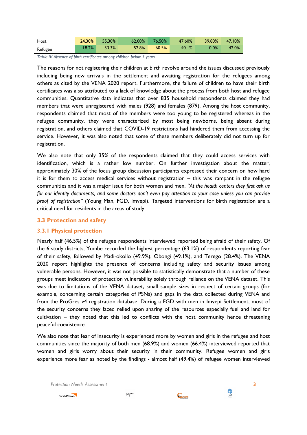| Host    | 24.30% | 55.30% | $62.00\%$ | $76.50\%$ | 47.60% | 39.80% | 47.10% |
|---------|--------|--------|-----------|-----------|--------|--------|--------|
| Refugee | 18.2%  | 53.3%  | 52.8%     | 60.5%     | 40.1%  | 0.0%   | 42.0%  |

<span id="page-11-2"></span>*Table IV Absence of birth certificates among children below 5 years*

The reasons for not registering their children at birth revolve around the issues discussed previously including being new arrivals in the settlement and awaiting registration for the refugees among others as cited by the VENA 2020 report. Furthermore, the failure of children to have their birth certificates was also attributed to a lack of knowledge about the process from both host and refugee communities. Quantitative data indicates that over 835 household respondents claimed they had members that were unregistered with males (928) and females (879). Among the host community, respondents claimed that most of the members were too young to be registered whereas in the refugee community, they were characterized by most being newborns, being absent during registration, and others claimed that COVID-19 restrictions had hindered them from accessing the service. However, it was also noted that some of these members deliberately did not turn up for registration.

We also note that only 35% of the respondents claimed that they could access services with identification, which is a rather low number. On further investigation about the matter, approximately 30% of the focus group discussion participants expressed their concern on how hard it is for them to access medical services without registration – this was rampant in the refugee communities and it was a major issue for both women and men. *"At the health centers they first ask us for our identity documents, and some doctors don't even pay attention to your case unless you can provide proof of registration"* (Young Man, FGD, Imvepi). Targeted interventions for birth registration are a critical need for residents in the areas of study.

#### <span id="page-11-0"></span>**3.3 Protection and safety**

#### <span id="page-11-1"></span>**3.3.1 Physical protection**

Nearly half (46.5%) of the refugee respondents interviewed reported being afraid of their safety. Of the 6 study districts, Yumbe recorded the highest percentage (63.1%) of respondents reporting fear of their safety, followed by Madi-okollo (49.9%), Obongi (49.1%), and Terego (28.4%). The VENA 2020 report highlights the presence of concerns including safety and security issues among vulnerable persons. However, it was not possible to statistically demonstrate that a number of these groups meet indicators of protection vulnerability solely through reliance on the VENA dataset. This was due to limitations of the VENA dataset, small sample sizes in respect of certain groups (for example, concerning certain categories of PSNs) and gaps in the data collected during VENA and from the ProGres v4 registration database. During a FGD with men in Imvepi Settlement, most of the security concerns they faced relied upon sharing of the resources especially fuel and land for cultivation – they noted that this led to conflicts with the host community hence threatening peaceful coexistence.

We also note that fear of insecurity is experienced more by women and girls in the refugee and host communities since the majority of both men (68.9%) and women (66.4%) interviewed reported that women and girls worry about their security in their community. Refugee women and girls experience more fear as noted by the findings - almost half (49.4%) of refugee women interviewed

*Protection Needs Assessment* **3**



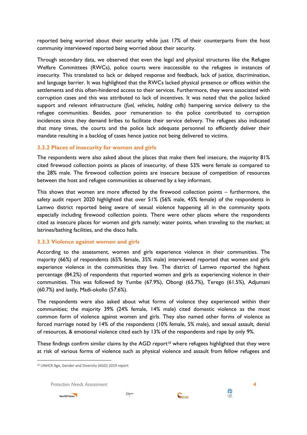reported being worried about their security while just 17% of their counterparts from the host community interviewed reported being worried about their security.

Through secondary data, we observed that even the legal and physical structures like the Refugee Welfare Committees (RWCs), police courts were inaccessible to the refugees in instances of insecurity. This translated to lack or delayed response and feedback, lack of justice, discrimination, and language barrier. It was highlighted that the RWCs lacked physical presence or offices within the settlements and this often-hindered access to their services. Furthermore, they were associated with corruption cases and this was attributed to lack of incentives. It was noted that the police lacked support and relevant infrastructure (*fuel, vehicles, holding cells*) hampering service delivery to the refugee communities. Besides, poor remuneration to the police contributed to corruption incidences since they demand bribes to facilitate their service delivery. The refugees also indicated that many times, the courts and the police lack adequate personnel to efficiently deliver their mandate resulting in a backlog of cases hence justice not being delivered to victims.

#### <span id="page-12-0"></span>**3.3.2 Places of insecurity for women and girls**

The respondents were also asked about the places that make them feel insecure, the majority 81% cited firewood collection points as places of insecurity, of these 53% were female as compared to the 28% male. The firewood collection points are insecure because of competition of resources between the host and refugee communities as observed by a key informant.

This shows that women are more affected by the firewood collection points – furthermore, the safety audit report 2020 highlighted that over 51% (56% male, 45% female) of the respondents in Lamwo district reported being aware of sexual violence happening all in the community spots especially including firewood collection points. There were other places where the respondents cited as insecure places for women and girls namely; water points, when traveling to the market; at latrines/bathing facilities, and the disco halls.

#### <span id="page-12-1"></span>**3.3.3 Violence against women and girls**

According to the assessment, women and girls experience violence in their communities. The majority (66%) of respondents (65% female, 35% male) interviewed reported that women and girls experience violence in the communities they live. The district of Lamwo reported the highest percentage (84.2%) of respondents that reported women and girls as experiencing violence in their communities. This was followed by Yumbe (67.9%), Obongi (65.7%), Terego (61.5%), Adjumani (60.7%) and lastly, Madi-okollo (57.6%).

The respondents were also asked about what forms of violence they experienced within their communities; the majority 39% (24% female, 14% male) cited domestic violence as the most common form of violence against women and girls. They also named other forms of violence as forced marriage noted by 14% of the respondents (10% female, 5% male), and sexual assault, denial of resources, & emotional violence cited each by 13% of the respondents and rape by only 9%.

These findings confirm similar claims by the AGD report<sup>10</sup> where refugees highlighted that they were at risk of various forms of violence such as physical violence and assault from fellow refugees and

*Protection Needs Assessment* **4**



 $\overline{a}$ 





**ENGINE** 

<sup>10</sup> UNHCR Age, Gender and Diversity (AGD) 2019 report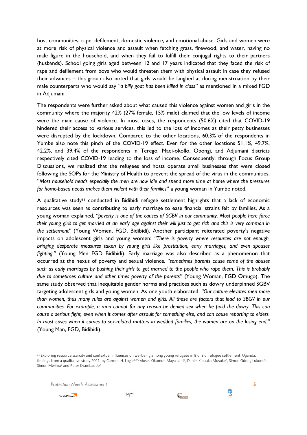host communities, rape, defilement, domestic violence, and emotional abuse. Girls and women were at more risk of physical violence and assault when fetching grass, firewood, and water, having no male figure in the household, and when they fail to fulfill their conjugal rights to their partners (husbands). School going girls aged between 12 and 17 years indicated that they faced the risk of rape and defilement from boys who would threaten them with physical assault in case they refused their advances – this group also noted that girls would be laughed at during menstruation by their male counterparts who would say *"a billy goat has been killed in class*" as mentioned in a mixed FGD in Adjumani.

The respondents were further asked about what caused this violence against women and girls in the community where the majority 42% (27% female, 15% male) claimed that the low levels of income were the main cause of violence. In most cases, the respondents (50.6%) cited that COVID-19 hindered their access to various services, this led to the loss of incomes as their petty businesses were disrupted by the lockdown. Compared to the other locations, 60.3% of the respondents in Yumbe also note this pinch of the COVID-19 effect. Even for the other locations 51.1%, 49.7%, 42.2%, and 39.4% of the respondents in Terego, Madi-okollo, Obongi, and Adjumani districts respectively cited COVID-19 leading to the loss of income. Consequently, through Focus Group Discussions, we realized that the refugees and hosts operate small businesses that were closed following the SOPs for the Ministry of Health to prevent the spread of the virus in the communities, "*Most household heads especially the men are now idle and spend more time at home where the pressures for home-based needs makes them violent with their families*" a young woman in Yumbe noted.

A qualitative study<sup>11</sup> conducted in Bidibidi refugee settlement highlights that a lack of economic resources was seen as contributing to early marriage to ease financial strains felt by families. As a young woman explained, *"poverty is one of the causes of SGBV in our community. Most people here force their young girls to get married at an early age against their will just to get rich and this is very common in the settlement"* (Young Women, FGD, Bidibidi). Another participant reiterated poverty's negative impacts on adolescent girls and young women: *"There is poverty where resources are not enough, bringing desperate measures taken by young girls like prostitution, early marriages, and even spouses fighting."* (Young Men FGD Bidibidi). Early marriage was also described as a phenomenon that occurred at the nexus of poverty and sexual violence*. "sometimes parents cause some of the abuses such as early marriages by pushing their girls to get married to the people who rape them. This is probably due to sometimes culture and other times poverty of the parents"* (Young Woman, FGD Omugo). The same study observed that inequitable gender norms and practices such as dowry underpinned SGBV targeting adolescent girls and young women. As one youth elaborated: *"Our culture elevates men more than women, thus many rules are against women and girls. All these are factors that lead to SBGV in our communities. For example, a man cannot for any reason be denied sex when he paid the dowry. This can cause a serious fight, even when it comes after assault for something else, and can cause reporting to elders. In most cases when it comes to sex-related matters in wedded families, the women are on the losing end."* (Young Man, FGD, Bidibidi).

*Protection Needs Assessment* **5**



1





<sup>&</sup>lt;sup>11</sup> Exploring resource scarcity and contextual influences on wellbeing among young refugees in Bidi Bidi refugee settlement, Uganda: findings from a qualitative study 2021, by Carmen H. Logie<sup>1,2\*,</sup> Moses Okumu<sup>3</sup>, Maya Latif<sup>1</sup>, Daniel Kibuuka Musoke<sup>4</sup>, Simon Odong Lukone<sup>5</sup>, Simon Mwima<sup>6</sup> and Peter Kyambadde<sup>7</sup>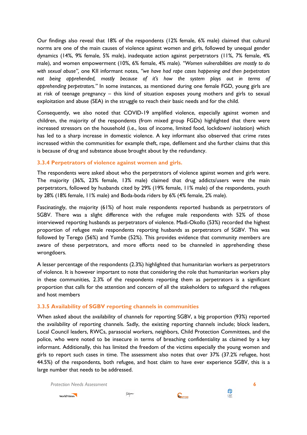Our findings also reveal that 18% of the respondents (12% female, 6% male) claimed that cultural norms are one of the main causes of violence against women and girls, followed by unequal gender dynamics (14%, 9% female, 5% male), inadequate action against perpetrators (11%, 7% female, 4% male), and women empowerment (10%, 6% female, 4% male)*. "Women vulnerabilities are mostly to do with sexual abuse",* one KII informant notes, *"we have had rape cases happening and then perpetrators not being apprehended, mostly because of it's how the system plays out in terms of apprehending perpetrators."* In some instances, as mentioned during one female FGD, young girls are at risk of teenage pregnancy – this kind of situation exposes young mothers and girls to sexual exploitation and abuse (SEA) in the struggle to reach their basic needs and for the child.

Consequently, we also noted that COVID-19 amplified violence, especially against women and children, the majority of the respondents (from mixed group FGDs) highlighted that there were increased stressors on the household (i.e., loss of income, limited food, lockdown/ isolation) which has led to a sharp increase in domestic violence. A key informant also observed that crime rates increased within the communities for example theft, rape, defilement and she further claims that this is because of drug and substance abuse brought about by the redundancy.

#### <span id="page-14-0"></span>**3.3.4 Perpetrators of violence against women and girls.**

The respondents were asked about who the perpetrators of violence against women and girls were. The majority (36%, 23% female, 13% male) claimed that drug addicts/users were the main perpetrators, followed by husbands cited by 29% (19% female, 11% male) of the respondents, youth by 28% (18% female, 11% male) and Boda-boda riders by 6% (4% female, 2% male).

Fascinatingly, the majority (61%) of host male respondents reported husbands as perpetrators of SGBV. There was a slight difference with the refugee male respondents with 52% of those interviewed reporting husbands as perpetrators of violence. Madi-Okollo (53%) recorded the highest proportion of refugee male respondents reporting husbands as perpetrators of SGBV. This was followed by Terego (56%) and Yumbe (52%). This provides evidence that community members are aware of these perpetrators, and more efforts need to be channeled in apprehending these wrongdoers.

A lesser percentage of the respondents (2.3%) highlighted that humanitarian workers as perpetrators of violence. It is however important to note that considering the role that humanitarian workers play in these communities, 2.3% of the respondents reporting them as perpetrators is a significant proportion that calls for the attention and concern of all the stakeholders to safeguard the refugees and host members

#### <span id="page-14-1"></span>**3.3.5 Availability of SGBV reporting channels in communities**

When asked about the availability of channels for reporting SGBV, a big proportion (93%) reported the availability of reporting channels. Sadly, the existing reporting channels include; block leaders, Local Council leaders, RWCs, parasocial workers, neighbors, Child Protection Committees, and the police, who were noted to be insecure in terms of breaching confidentiality as claimed by a key informant. Additionally, this has limited the freedom of the victims especially the young women and girls to report such cases in time. The assessment also notes that over 37% (37.2% refugee, host 44.5%) of the respondents, both refugee, and host claim to have ever experience SGBV, this is a large number that needs to be addressed.

*Protection Needs Assessment* **6**



*futapma* 





**ENGINE**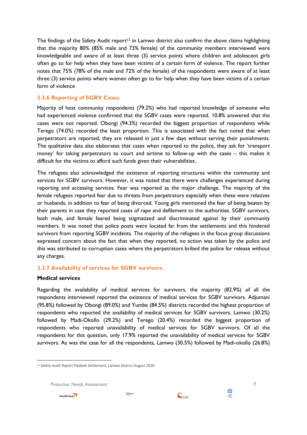The findings of the Safety Audit report<sup>12</sup> in Lamwo district also confirm the above claims highlighting that the majority 80% (85% male and 73% female) of the community members interviewed were knowledgeable and aware of at least three (3) service points where children and adolescent girls often go to for help when they have been victims of a certain form of violence. The report further notes that 75% (78% of the male and 72% of the female) of the respondents were aware of at least three (3) service points where women often go to for help when they have been victims of a certain form of violence

#### <span id="page-15-0"></span>**3.3.6 Reporting of SGBV Cases.**

Majority of host community respondents (79.2%) who had reported knowledge of someone who had experienced violence confirmed that the SGBV cases were reported. 10.8% answered that the cases were not reported. Obongi (94.3%) recorded the biggest proportion of respondents while Terego (74.0%) recorded the least proportion. This is associated with the fact noted that when perpetrators are reported, they are released in just a few days without serving their punishments. The qualitative data also elaborates that cases when reported to the police, they ask for 'transport money' for taking perpetrators to court and airtime to follow-up with the cases – this makes it difficult for the victims to afford such funds given their vulnerabilities.

The refugees also acknowledged the existence of reporting structures within the community and services for SGBV survivors. However, it was noted that there were challenges experienced during reporting and accessing services. Fear was reported as the major challenge. The majority of the female refugees reported fear due to threats from perpetrators especially when these were relatives or husbands, in addition to fear of being divorced. Young girls mentioned the fear of being beaten by their parents in case they reported cases of rape and defilement to the authorities. SGBV survivors, both male, and female feared being stigmatized and discriminated against by their community members. It was noted that police posts were located far from the settlements and this hindered survivors from reporting SGBV incidents. The majority of the refugees in the focus group discussions expressed concern about the fact that when they reported, no action was taken by the police and this was attributed to corruption cases where the perpetrators bribed the police for release without any charges.

## <span id="page-15-1"></span>**3.3.7 Availability of services for SGBV survivors.**

#### **Medical services**

 $\overline{a}$ 

Regarding the availability of medical services for survivors, the majority (82.9%) of all the respondents interviewed reported the existence of medical services for SGBV survivors. Adjumani (95.8%) followed by Obongi (89.0%) and Yumbe (84.5%) districts recorded the highest proportion of respondents who reported the availability of medical services for SGBV survivors. Lamwo (30.2%) followed by Madi-Okollo (29.2%) and Terego (20.4%) recorded the biggest proportion of respondents who reported unavailability of medical services for SGBV survivors. Of all the respondents for this question, only 17.9% reported the unavailability of medical services for SGBV survivors. As was the case for all the respondents, Lamwo (30.5%) followed by Madi-okollo (26.8%)

*Protection Needs Assessment* **7**







<sup>12</sup> Safety Audit Report Palabek Settlement, Lamwo District August 2020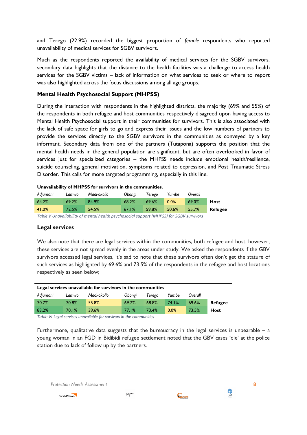and Terego (22.9%) recorded the biggest proportion of *female* respondents who reported unavailability of medical services for SGBV survivors.

Much as the respondents reported the availability of medical services for the SGBV survivors, secondary data highlights that the distance to the health facilities was a challenge to access health services for the SGBV victims – lack of information on what services to seek or where to report was also highlighted across the focus discussions among all age groups.

### **Mental Health Psychosocial Support (MHPSS)**

During the interaction with respondents in the highlighted districts, the majority (69% and 55%) of the respondents in both refugee and host communities respectively disagreed upon having access to Mental Health Psychosocial support in their communities for survivors. This is also associated with the lack of safe space for girls to go and express their issues and the low numbers of partners to provide the services directly to the SGBV survivors in the communities as conveyed by a key informant. Secondary data from one of the partners (Tutapona) supports the position that the mental health needs in the general population are significant, but are often overlooked in favor of services just for specialized categories – the MHPSS needs include emotional health/resilience, suicide counseling, general motivation, symptoms related to depression, and Post Traumatic Stress Disorder. This calls for more targeted programming, especially in this line.

| Unavailability of MHPSS for survivors in the communities.                |                                                                                                                       |        |       |                             |          |       |                |  |  |  |  |
|--------------------------------------------------------------------------|-----------------------------------------------------------------------------------------------------------------------|--------|-------|-----------------------------|----------|-------|----------------|--|--|--|--|
| Yumbe<br>Madi-okollo<br>Adjumani<br>Obongi<br>Overall<br>Terego<br>Lamwo |                                                                                                                       |        |       |                             |          |       |                |  |  |  |  |
| 64.2%                                                                    | 69.2%                                                                                                                 | 84.9%  | 68.2% | 69.6%                       | 0.0%     | 69.0% | <b>Host</b>    |  |  |  |  |
| 41.0%                                                                    | 72.5%                                                                                                                 | 54.5%  | 67.1% | 59.8%                       | 50.6%    | 55.7% | <b>Refugee</b> |  |  |  |  |
| _ , , , , , ,                                                            | $\mathbf{r}$ , $\mathbf{r}$ , $\mathbf{r}$ , $\mathbf{r}$ , $\mathbf{r}$ , $\mathbf{r}$ , $\mathbf{r}$ , $\mathbf{r}$ | .<br>. |       | $\cdot$ <i>In assemble.</i> | $\cdots$ |       |                |  |  |  |  |

<span id="page-16-0"></span>*Table V Unavailability of mental health psychosocial support (MHPSS) for SGBV survivors*

#### **Legal services**

We also note that there are legal services within the communities, both refugee and host, however, these services are not spread evenly in the areas under study. We asked the respondents if the GBV survivors accessed legal services, it's sad to note that these survivors often don't get the stature of such services as highlighted by 69.6% and 73.5% of the respondents in the refugee and host locations respectively as seen below;

| Legal services unavailable for survivors in the communities              |                                                                  |       |       |       |       |       |         |  |  |  |  |  |
|--------------------------------------------------------------------------|------------------------------------------------------------------|-------|-------|-------|-------|-------|---------|--|--|--|--|--|
| Madi-okollo<br>Adjumani<br>Yumbe<br>Obongi<br>Overall<br>Terego<br>Lamwo |                                                                  |       |       |       |       |       |         |  |  |  |  |  |
| 70.7%                                                                    | 70.8%                                                            | 55.8% | 69.7% | 68.8% | 74.1% | 69.6% | Refugee |  |  |  |  |  |
| 83.2%                                                                    | 39.6%<br>0.0%<br>70.1%<br>73.5%<br>77.1%<br>73.4%<br><b>Host</b> |       |       |       |       |       |         |  |  |  |  |  |

<span id="page-16-1"></span>*Table VI Legal services unavailable for survivors in the communities*

Furthermore, qualitative data suggests that the bureaucracy in the legal services is unbearable  $-$  a young woman in an FGD in Bidibidi refugee settlement noted that the GBV cases 'die' at the police station due to lack of follow up by the partners.

*Protection Needs Assessment* **8**



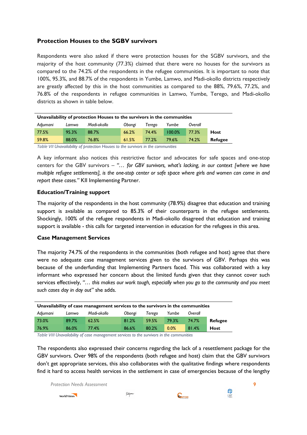## **Protection Houses to the SGBV survivors**

Respondents were also asked if there were protection houses for the SGBV survivors, and the majority of the host community (77.3%) claimed that there were no houses for the survivors as compared to the 74.2% of the respondents in the refugee communities. It is important to note that 100%, 95.3%, and 88.7% of the respondents in Yumbe, Lamwo, and Madi-okollo districts respectively are greatly affected by this in the host communities as compared to the 88%, 79.6%, 77.2%, and 76.8% of the respondents in refugee communities in Lamwo, Yumbe, Terego, and Madi-okollo districts as shown in table below.

| Unavailability of protection Houses to the survivors in the communities       |       |       |       |       |        |       |             |  |  |  |  |
|-------------------------------------------------------------------------------|-------|-------|-------|-------|--------|-------|-------------|--|--|--|--|
| Madi-okollo<br>Yumbe<br>Adjumani<br>Obongi<br>Overall<br>Terego<br>Lamwo      |       |       |       |       |        |       |             |  |  |  |  |
| 77.5%                                                                         | 95.3% | 88.7% | 66.2% | 74.4% | 100.0% | 77.3% | <b>Host</b> |  |  |  |  |
| 59.8%<br>88.0%<br>61.5%<br>74.2%<br>76.8%<br>77.2%<br>79.6%<br><b>Refugee</b> |       |       |       |       |        |       |             |  |  |  |  |
|                                                                               |       |       |       |       |        |       |             |  |  |  |  |

<span id="page-17-0"></span>*Table VII Unavailability of protection Houses to the survivors in the communities*

A key informant also notices this restrictive factor and advocates for safe spaces and one-stop centers for the GBV survivors – *"… for GBV survivors, what's lacking, in our context [where we have multiple refugee settlements], is the one-stop center or safe space where girls and women can come in and report these cases."* KII Implementing Partner.

#### **Education/Training support**

The majority of the respondents in the host community (78.9%) disagree that education and training support is available as compared to 85.3% of their counterparts in the refugee settlements. Shockingly, 100% of the refugee respondents in Madi-okollo disagreed that education and training support is available - this calls for targeted intervention in education for the refugees in this area.

#### **Case Management Services**

The majority 74.7% of the respondents in the communities (both refugee and host) agree that there were no adequate case management services given to the survivors of GBV. Perhaps this was because of the underfunding that Implementing Partners faced. This was collaborated with a key informant who expressed her concern about the limited funds given that they cannot cover such services effectively, *"… this makes our work tough, especially when you go to the community and you meet such cases day in day out"* she adds.

| Unavailability of case management services to the survivors in the communities |       |       |       |       |       |       |                |  |  |  |  |
|--------------------------------------------------------------------------------|-------|-------|-------|-------|-------|-------|----------------|--|--|--|--|
| Yumbe<br>Madi-okollo<br>Obongi<br>Adjumani<br>Terego<br>Overall<br>Lamwo       |       |       |       |       |       |       |                |  |  |  |  |
| 73.0%                                                                          | 89.7% | 62.5% | 81.2% | 59.5% | 79.3% | 74.7% | <b>Refugee</b> |  |  |  |  |
| 76.9%                                                                          | 86.0% | 77.4% | 86.6% | 80.2% | 0.0%  | 81.4% | Host           |  |  |  |  |

<span id="page-17-1"></span>*Table VIII Unavailability of case management services to the survivors in the communities*

The respondents also expressed their concerns regarding the lack of a resettlement package for the GBV survivors. Over 98% of the respondents (both refugee and host) claim that the GBV survivors don't get appropriate services, this also collaborates with the qualitative findings where respondents find it hard to access health services in the settlement in case of emergencies because of the lengthy

*Protection Needs Assessment* **9**





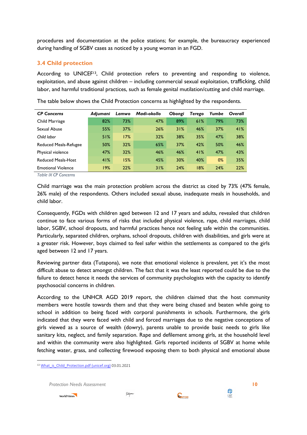procedures and documentation at the police stations; for example, the bureaucracy experienced during handling of SGBV cases as noticed by a young woman in an FGD.

## <span id="page-18-0"></span>**3.4 Child protection**

According to UNICEF<sup>13</sup>, Child protection refers to preventing and responding to violence, exploitation, and abuse against children – including commercial sexual exploitation, trafficking, child labor, and harmful traditional practices, such as female genital mutilation/cutting and child marriage.

| <b>CP Concerns</b>           | Adiumani | Lamwo | Madi-okollo | Obongi | Terego | Yumbe | Overall |
|------------------------------|----------|-------|-------------|--------|--------|-------|---------|
| Child Marriage               | 82%      | 73%   | 47%         | 89%    | 61%    | 79%   | 73%     |
| Sexual Abuse                 | 55%      | 37%   | 26%         | 31%    | 46%    | 37%   | 41%     |
| Child labor                  | 51%      | 17%   | 32%         | 38%    | 35%    | 47%   | 38%     |
| <b>Reduced Meals-Refugee</b> | 50%      | 32%   | 65%         | 37%    | 42%    | 50%   | 46%     |
| Physical violence            | 47%      | 32%   | 46%         | 46%    | 41%    | 47%   | 43%     |
| <b>Reduced Meals-Host</b>    | 41%      | 15%   | 45%         | 30%    | 40%    | $0\%$ | 35%     |
| <b>Emotional Violence</b>    | 19%      | 22%   | 31%         | 24%    | 18%    | 24%   | 22%     |

The table below shows the Child Protection concerns as highlighted by the respondents.

<span id="page-18-1"></span>*Table IX CP Concerns*

Child marriage was the main protection problem across the district as cited by 73% (47% female, 26% male) of the respondents. Others included sexual abuse, inadequate meals in households, and child labor.

Consequently, FGDs with children aged between 12 and 17 years and adults, revealed that children continue to face various forms of risks that included physical violence, rape, child marriages, child labor, SGBV, school dropouts, and harmful practices hence not feeling safe within the communities. Particularly, separated children, orphans, school dropouts, children with disabilities, and girls were at a greater risk. However, boys claimed to feel safer within the settlements as compared to the girls aged between 12 and 17 years.

Reviewing partner data (Tutapona), we note that emotional violence is prevalent, yet it's the most difficult abuse to detect amongst children. The fact that it was the least reported could be due to the failure to detect hence it needs the services of community psychologists with the capacity to identify psychosocial concerns in children.

According to the UNHCR AGD 2019 report, the children claimed that the host community members were hostile towards them and that they were being chased and beaten while going to school in addition to being faced with corporal punishments in schools. Furthermore, the girls indicated that they were faced with child and forced marriages due to the negative conceptions of girls viewed as a source of wealth (dowry), parents unable to provide basic needs to girls like sanitary kits, neglect, and family separation. Rape and defilement among girls, at the household level and within the community were also highlighted. Girls reported incidents of SGBV at home while fetching water, grass, and collecting firewood exposing them to both physical and emotional abuse

*Protection Needs Assessment* **10**



 $\overline{a}$ 



<sup>&</sup>lt;sup>13</sup> What is Child Protection.pdf (unicef.org) 03.01.2021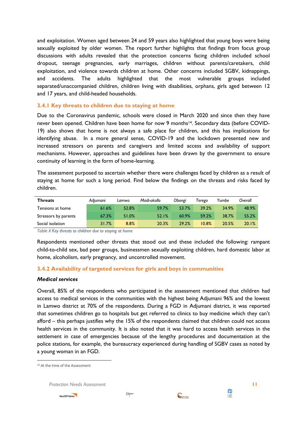and exploitation. Women aged between 24 and 59 years also highlighted that young boys were being sexually exploited by older women. The report further highlights that findings from focus group discussions with adults revealed that the protection concerns facing children included school dropout, teenage pregnancies, early marriages, children without parents/caretakers, child exploitation, and violence towards children at home. Other concerns included SGBV, kidnappings, and accidents. The adults highlighted that the most vulnerable groups included separated/unaccompanied children, children living with disabilities, orphans, girls aged between 12 and 17 years, and child-headed households.

#### <span id="page-19-0"></span>**3.4.1 Key threats to children due to staying at home**

Due to the Coronavirus pandemic, schools were closed in March 2020 and since then they have never been opened. Children have been home for now 9 months<sup>14</sup>. Secondary data (before COVID-19) also shows that home is not always a safe place for children, and this has implications for identifying abuse. In a more general sense, COVID-19 and the lockdown presented new and increased stressors on parents and caregivers and limited access and availability of support mechanisms. However, approaches and guidelines have been drawn by the government to ensure continuity of learning in the form of home-learning.

The assessment purposed to ascertain whether there were challenges faced by children as a result of staying at home for such a long period. Find below the findings on the threats and risks faced by children.

| <b>Threats</b>       | Adiumani | Lamwo | Madi-okollo | Obongi | Terego | Yumbe | Overall |
|----------------------|----------|-------|-------------|--------|--------|-------|---------|
| Tensions at home     | 61.6%    | 52.8% | 59.7%       | 53.7%  | 39.2%  | 34.9% | 48.9%   |
| Stressors by parents | 67.3%    | 51.0% | 52.1%       | 60.9%  | 59.2%  | 38.7% | 55.2%   |
| Social isolation     | 31.7%    | 8.8%  | 20.3%       | 29.2%  | 10.8%  | 20.5% | 20.1%   |

<span id="page-19-2"></span>*Table X Key threats to children due to staying at home*

Respondents mentioned other threats that stood out and these included the following: rampant child-to-child sex, bad peer groups, businessmen sexually exploiting children, hard domestic labor at home, alcoholism, early pregnancy, and uncontrolled movement.

## <span id="page-19-1"></span>**3.4.2 Availability of targeted services for girls and boys in communities**

#### *Medical services*

Overall, 85% of the respondents who participated in the assessment mentioned that children had access to medical services in the communities with the highest being Adjumani 96% and the lowest in Lamwo district at 70% of the respondents. During a FGD in Adjumani district, it was reported that sometimes children go to hospitals but get referred to clinics to buy medicine which they can't afford – this perhaps justifies why the 15% of the respondents claimed that children could not access health services in the community. It is also noted that it was hard to access health services in the settlement in case of emergencies because of the lengthy procedures and documentation at the police stations, for example, the bureaucracy experienced during handling of SGBV cases as noted by a young woman in an FGD.

 $\overline{a}$ 

*Protection Needs Assessment* **11**







<sup>&</sup>lt;sup>14</sup> At the time of the Assessment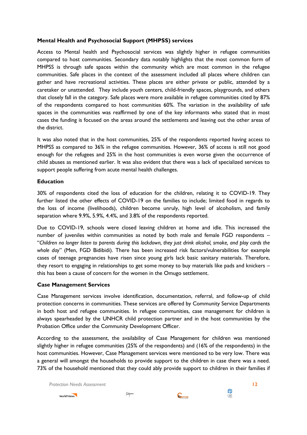### **Mental Health and Psychosocial Support (MHPSS) services**

Access to Mental health and Psychosocial services was slightly higher in refugee communities compared to host communities. Secondary data notably highlights that the most common form of MHPSS is through safe spaces within the community which are most common in the refugee communities. Safe places in the context of the assessment included all places where children can gather and have recreational activities. These places are either private or public, attended by a caretaker or unattended. They include youth centers, child-friendly spaces, playgrounds, and others that closely fall in the category. Safe places were more available in refugee communities cited by 87% of the respondents compared to host communities 60%. The variation in the availability of safe spaces in the communities was reaffirmed by one of the key informants who stated that in most cases the funding is focused on the areas around the settlements and leaving out the other areas of the district.

It was also noted that in the host communities, 25% of the respondents reported having access to MHPSS as compared to 36% in the refugee communities. However, 36% of access is still not good enough for the refugees and 25% in the host communities is even worse given the occurrence of child abuses as mentioned earlier. It was also evident that there was a lack of specialized services to support people suffering from acute mental health challenges.

#### **Education**

30% of respondents cited the loss of education for the children, relating it to COVID-19. They further listed the other effects of COVID-19 on the families to include; limited food in regards to the loss of income (livelihoods), children become unruly, high level of alcoholism, and family separation where 9.9%, 5.9%, 4.4%, and 3.8% of the respondents reported.

Due to COVID-19, schools were closed leaving children at home and idle. This increased the number of juveniles within communities as noted by both male and female FGD respondents – "*Children no longer listen to parents during this lockdown, they just drink alcohol, smoke, and play cards the whole day*" (Men, FGD Bidibidi). There has been increased risk factors/vulnerabilities for example cases of teenage pregnancies have risen since young girls lack basic sanitary materials. Therefore, they resort to engaging in relationships to get some money to buy materials like pads and knickers – this has been a cause of concern for the women in the Omugo settlement.

## **Case Management Services**

Case Management services involve identification, documentation, referral, and follow-up of child protection concerns in communities. These services are offered by Community Service Departments in both host and refugee communities. In refugee communities, case management for children is always spearheaded by the UNHCR child protection partner and in the host communities by the Probation Office under the Community Development Officer.

According to the assessment, the availability of Case Management for children was mentioned slightly higher in refugee communities (25% of the respondents) and (16% of the respondents) in the host communities. However, Case Management services were mentioned to be very low. There was a general will amongst the households to provide support to the children in case there was a need. 73% of the household mentioned that they could ably provide support to children in their families if

*Protection Needs Assessment* **12**







**ENGINE**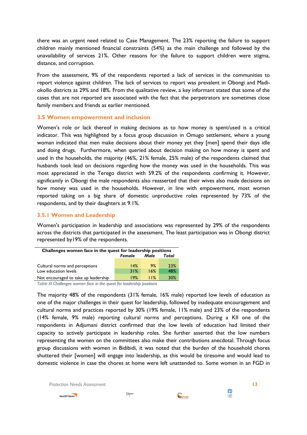there was an urgent need related to Case Management. The 23% reporting the failure to support children mainly mentioned financial constraints (54%) as the main challenge and followed by the unavailability of services 21%. Other reasons for the failure to support children were stigma, distance, and corruption.

From the assessment, 9% of the respondents reported a lack of services in the communities to report violence against children. The lack of services to report was prevalent in Obongi and Madiokollo districts as 29% and 18%. From the qualitative review, a key informant stated that some of the cases that are not reported are associated with the fact that the perpetrators are sometimes close family members and friends as earlier mentioned.

#### <span id="page-21-0"></span>**3.5 Women empowerment and inclusion**

Women's role or lack thereof in making decisions as to how money is spent/used is a critical indicator. This was highlighted by a focus group discussion in Omugo settlement, where a young woman indicated that men make decisions about their money yet they [men] spend their days idle and doing drugs. Furthermore, when queried about decision making on how money is spent and used in the households, the majority (46%, 21% female, 25% male) of the respondents claimed that husbands took lead on decisions regarding how the money was used in the households. This was most appreciated in the Terego district with 59.2% of the respondents confirming it. However, significantly in Obongi the male respondents also reasserted that their wives also made decisions on how money was used in the households. However, in line with empowerment, most women reported taking on a big share of domestic unproductive roles represented by 73% of the respondents, and by their daughters at 9.1%.

### <span id="page-21-1"></span>**3.5.1 Women and Leadership**

Women's participation in leadership and associations was represented by 29% of the respondents across the districts that participated in the assessment. The least participation was in Obongi district represented by19% of the respondents.

| Challenges women face in the quest for leadership positions |        |      |       |  |  |  |  |  |  |  |
|-------------------------------------------------------------|--------|------|-------|--|--|--|--|--|--|--|
|                                                             | Female | Male | Total |  |  |  |  |  |  |  |
|                                                             |        |      |       |  |  |  |  |  |  |  |
| Cultural norms and perceptions                              | 14%    | 9%   | 23%   |  |  |  |  |  |  |  |
| Low education levels                                        | 31%    | 16%  | 48%   |  |  |  |  |  |  |  |
| Not encouraged to take up leadership                        | 19%    | 11%  | 30%   |  |  |  |  |  |  |  |

<span id="page-21-2"></span>*Table XI Challenges women face in the quest for leadership positions*

The majority 48% of the respondents (31% female, 16% male) reported low levels of education as one of the major challenges in their quest for leadership, followed by inadequate encouragement and cultural norms and practices reported by 30% (19% female, 11% male) and 23% of the respondents (14% female, 9% male) reporting cultural norms and perceptions. During a KII one of the respondents in Adjumani district confirmed that the low levels of education had limited their capacity to actively participate in leadership roles. She further asserted that the low numbers representing the women on the committees also make their contributions anecdotal. Through focus group discussions with women in Bidibidi, it was noted that the burden of the household chores shuttered their [women] will engage into leadership, as this would be tiresome and would lead to domestic violence in case the chores at home were left unattended to. Some women in an FGD in

*Protection Needs Assessment* **13**







**ENGINE**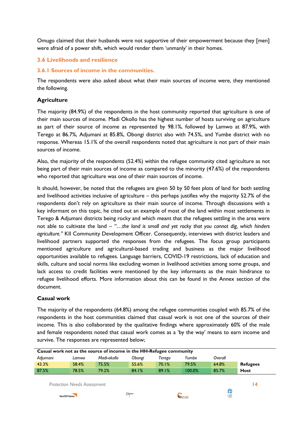Omugo claimed that their husbands were not supportive of their empowerment because they [men] were afraid of a power shift, which would render them 'unmanly' in their homes.

## <span id="page-22-0"></span>**3.6 Livelihoods and resilience**

### <span id="page-22-1"></span>**3.6.1 Sources of income in the communities.**

The respondents were also asked about what their main sources of income were, they mentioned the following.

#### **Agriculture**

The majority (84.9%) of the respondents in the host community reported that agriculture is one of their main sources of income. Madi Okollo has the highest number of hosts surviving on agriculture as part of their source of income as represented by 98.1%, followed by Lamwo at 87.9%, with Terego at 86.7%, Adjumani at 85.8%, Obongi district also with 74.5%, and Yumbe district with no response. Whereas 15.1% of the overall respondents noted that agriculture is not part of their main sources of income.

Also, the majority of the respondents (52.4%) within the refugee community cited agriculture as not being part of their main sources of income as compared to the minority (47.6%) of the respondents who reported that agriculture was one of their main sources of income.

It should, however, be noted that the refugees are given 50 by 50 feet plots of land for both settling and livelihood activities inclusive of agriculture – this perhaps justifies why the majority 52.7% of the respondents don't rely on agriculture as their main source of income. Through discussions with a key informant on this topic, he cited out an example of most of the land within most settlements in Terego & Adjumani districts being rocky and which meant that the refugees settling in the area were not able to cultivate the land – *"…the land is small and yet rocky that you cannot dig, which hinders agriculture."* KII Community Development Officer. Consequently, interviews with district leaders and livelihood partners supported the responses from the refugees. The focus group participants mentioned agriculture and agricultural-based trading and business as the major livelihood opportunities available to refugees. Language barriers, COVID-19 restrictions, lack of education and skills, culture and social norms like excluding women in livelihood activities among some groups, and lack access to credit facilities were mentioned by the key informants as the main hindrance to refugee livelihood efforts. More information about this can be found in the Annex section of the document.

#### **Casual work**

The majority of the respondents (64.8%) among the refugee communities coupled with 85.7% of the respondents in the host communities claimed that casual work is not one of the sources of their income. This is also collaborated by the qualitative findings where approximately 60% of the male and female respondents noted that casual work comes as a 'by the way' means to earn income and survive. The responses are represented below;

| Casual work not as the source of income in the HH-Refugee community |                                    |             |          |        |                |         |                 |  |  |  |
|---------------------------------------------------------------------|------------------------------------|-------------|----------|--------|----------------|---------|-----------------|--|--|--|
| Adjumani                                                            | Lamwo                              | Madi-okollo | Obongi   | Terego | Yumbe          | Overall |                 |  |  |  |
| 43.3%                                                               | 58.4%                              | 75.5%       | 55.6%    | 70.1%  | 79.5%          | 64.8%   | <b>Refugees</b> |  |  |  |
| 87.5%                                                               | 78.5%                              | 79.2%       | 84.1%    | 89.1%  | 100.0%         | 85.7%   | <b>Host</b>     |  |  |  |
|                                                                     | <b>Protection Needs Assessment</b> |             |          |        |                | ♦       | 14              |  |  |  |
| <b>World Vision</b>                                                 |                                    |             | Tutapona |        | <b>CONFOMI</b> | LWF     |                 |  |  |  |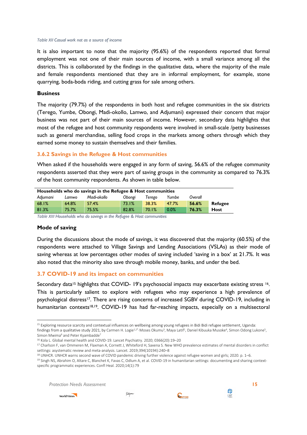#### <span id="page-23-2"></span>*Table XII Casual work not as a source of income*

It is also important to note that the majority (95.6%) of the respondents reported that formal employment was not one of their main sources of income, with a small variance among all the districts. This is collaborated by the findings in the qualitative data, where the majority of the male and female respondents mentioned that they are in informal employment, for example, stone quarrying, boda-boda riding, and cutting grass for sale among others.

#### **Business**

The majority (79.7%) of the respondents in both host and refugee communities in the six districts (Terego, Yumbe, Obongi, Madi-okollo, Lamwo, and Adjumani) expressed their concern that major business was not part of their main sources of income. However, secondary data highlights that most of the refugee and host community respondents were involved in small-scale /petty businesses such as general merchandise, selling food crops in the markets among others through which they earned some money to sustain themselves and their families.

#### <span id="page-23-0"></span>**3.6.2 Savings in the Refugee & Host communities**

When asked if the households were engaged in any form of saving, 56.6% of the refugee community respondents asserted that they were part of saving groups in the community as compared to 76.3% of the host community respondents. As shown in table below.

| Households who do savings in the Refugee & Host communities |       |             |        |        |       |         |                |  |  |
|-------------------------------------------------------------|-------|-------------|--------|--------|-------|---------|----------------|--|--|
| Adjumani                                                    | Lamwo | Madi-okollo | Obongi | Terego | Yumbe | Overall |                |  |  |
| 68.1%                                                       | 64.8% | 57.4%       | 73.1%  | 38.3%  | 47.7% | 56.6%   | <b>Refugee</b> |  |  |
| 81.3%                                                       | 75.7% | 75.5%       | 82.8%  | 70.1%  | 0.0%  | 76.3%   | Host           |  |  |
| _ , , , , , , , , ,                                         |       |             |        |        |       |         |                |  |  |

<span id="page-23-3"></span>*Table XIII Households who do savings in the Refugee & Host communities*

#### **Mode of saving**

During the discussions about the mode of savings, it was discovered that the majority (60.5%) of the respondents were attached to Village Savings and Lending Associations (VSLAs) as their mode of saving whereas at low percentages other modes of saving included 'saving in a box' at 21.7%. It was also noted that the minority also save through mobile money, banks, and under the bed.

#### <span id="page-23-1"></span>**3.7 COVID-19 and its impact on communities**

Secondary data<sup>15</sup> highlights that COVID-19's psychosocial impacts may exacerbate existing stress <sup>16</sup>. This is particularly salient to explore with refugees who may experience a high prevalence of psychological distress<sup>17</sup>. There are rising concerns of increased SGBV during COVID-19, including in humanitarian contexts<sup>18,19</sup>. COVID-19 has had far-reaching impacts, especially on a multisectoral

*Protection Needs Assessment* **15**







**<sup>.</sup>** <sup>15</sup> Exploring resource scarcity and contextual influences on wellbeing among young refugees in Bidi Bidi refugee settlement, Uganda: findings from a qualitative study 2021, by Carmen H. Logie<sup>1,2\*,</sup> Moses Okumu<sup>3</sup>, Maya Latif<sup>1</sup>, Daniel Kibuuka Musoke<sup>4</sup>, Simon Odong Lukone<sup>5</sup>, Simon Mwima<sup>6</sup> and Peter Kyambadde<sup>7</sup>

<sup>16</sup> Kola L. Global mental health and COVID-19. Lancet Psychiatry. 2020; 0366(20):19–20

<sup>&</sup>lt;sup>17</sup> Charlson F, van Ommeren M, Flaxman A, Cornett J, Whiteford H, Saxena S, New WHO prevalence estimates of mental disorders in conflict settings: asystematic review and meta-analysis. Lancet. 2019;394(10194):240–8

<sup>18</sup> UNHCR. UNHCR warns second wave of COVID pandemic driving further violence against refugee women and girls; 2020. p. 1–6.

<sup>&</sup>lt;sup>19</sup> Singh NS, Abrahim O, Altare C, Blanchet K, Favas C, Odlum A, et al. COVID-19 in humanitarian settings: documenting and sharing contextspecific programmatic experiences. Confl Heal. 2020;14(1):79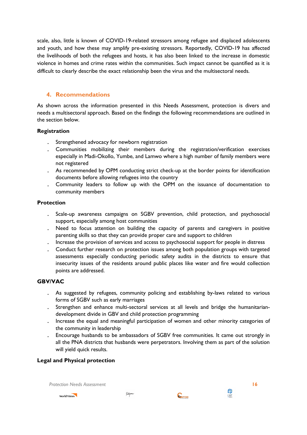scale, also, little is known of COVID-19-related stressors among refugee and displaced adolescents and youth, and how these may amplify pre-existing stressors. Reportedly, COVID-19 has affected the livelihoods of both the refugees and hosts, it has also been linked to the increase in domestic violence in homes and crime rates within the communities. Such impact cannot be quantified as it is difficult to clearly describe the exact relationship been the virus and the multisectoral needs.

## <span id="page-24-0"></span>**4. Recommendations**

As shown across the information presented in this Needs Assessment, protection is divers and needs a multisectoral approach. Based on the findings the following recommendations are outlined in the section below.

## **Registration**

- . Strengthened advocacy for newborn registration
- . Communities mobilizing their members during the registration/verification exercises especially in Madi-Okollo, Yumbe, and Lamwo where a high number of family members were not registered
- . As recommended by OPM conducting strict check-up at the border points for identification documents before allowing refugees into the country
- . Community leaders to follow up with the OPM on the issuance of documentation to community members

## **Protection**

- . Scale-up awareness campaigns on SGBV prevention, child protection, and psychosocial support, especially among host communities
- . Need to focus attention on building the capacity of parents and caregivers in positive parenting skills so that they can provide proper care and support to children
- . Increase the provision of services and access to psychosocial support for people in distress
- . Conduct further research on protection issues among both population groups with targeted assessments especially conducting periodic safety audits in the districts to ensure that insecurity issues of the residents around public places like water and fire would collection points are addressed.

## **GBV/VAC**

- . As suggested by refugees, community policing and establishing by-laws related to various forms of SGBV such as early marriages
- . Strengthen and enhance multi-sectoral services at all levels and bridge the humanitariandevelopment divide in GBV and child protection programming
- . Increase the equal and meaningful participation of women and other minority categories of the community in leadership
- . Encourage husbands to be ambassadors of SGBV free communities. It came out strongly in all the PNA districts that husbands were perpetrators. Involving them as part of the solution will yield quick results.

## **Legal and Physical protection**

*Protection Needs Assessment* **16**





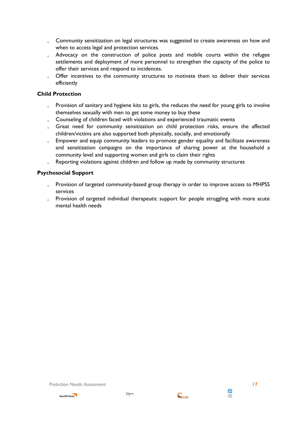- . Community sensitization on legal structures was suggested to create awareness on how and when to access legal and protection services.
- . Advocacy on the construction of police posts and mobile courts within the refugee settlements and deployment of more personnel to strengthen the capacity of the police to offer their services and respond to incidences.
- Offer incentives to the community structures to motivate them to deliver their services efficiently

## **Child Protection**

- . Provision of sanitary and hygiene kits to girls, the reduces the need for young girls to involve themselves sexually with men to get some money to buy these
- . Counseling of children faced with violations and experienced traumatic events
- . Great need for community sensitization on child protection risks, ensure the affected children/victims are also supported both physically, socially, and emotionally
- . Empower and equip community leaders to promote gender equality and facilitate awareness and sensitization campaigns on the importance of sharing power at the household a community level and supporting women and girls to claim their rights
- . Reporting violations against children and follow up made by community structures

## **Psychosocial Support**

- . Provision of targeted community-based group therapy in order to improve access to MHPSS services
- . Provision of targeted individual therapeutic support for people struggling with more acute mental health needs



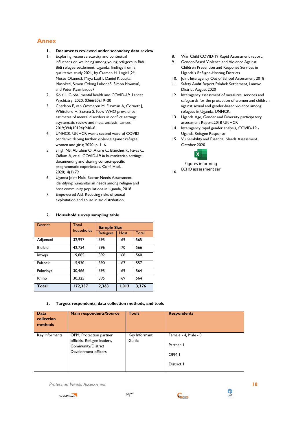## <span id="page-26-0"></span>**Annex**

- **1. Documents reviewed under secondary data review**
- 1. Exploring resource scarcity and contextual influences on wellbeing among young refugees in Bidi Bidi refugee settlement, Uganda: findings from a qualitative study 2021, by Carmen H. Logie1,2\*, Moses Okumu3, Maya Latif1, Daniel Kibuuka Musoke4, Simon Odong Lukone5, Simon Mwima6, and Peter Kyambadde7
- 2. Kola L. Global mental health and COVID-19. Lancet Psychiatry. 2020; 0366(20):19–20
- 3. Charlson F, van Ommeren M, Flaxman A, Cornett J, Whiteford H, Saxena S. New WHO prevalence estimates of mental disorders in conflict settings: asystematic review and meta-analysis. Lancet. 2019;394(10194):240–8
- 4. UNHCR. UNHCR warns second wave of COVID pandemic driving further violence against refugee women and girls; 2020. p. 1–6.
- 5. Singh NS, Abrahim O, Altare C, Blanchet K, Favas C, Odlum A, et al. COVID-19 in humanitarian settings: documenting and sharing context-specific programmatic experiences. Confl Heal. 2020;14(1):79
- 6. Uganda Joint Multi-Sector Needs Assessment, identifying humanitarian needs among refugee and host community populations in Uganda, 2018
- 7. Empowered Aid: Reducing risks of sexual exploitation and abuse in aid distribution,

#### **2. Household survey sampling table**

| <b>District</b> | <b>Total</b><br>households | <b>Sample Size</b> |             |       |  |  |
|-----------------|----------------------------|--------------------|-------------|-------|--|--|
|                 |                            | <b>Refugees</b>    | <b>Host</b> | Total |  |  |
| Adjumani        | 32,997                     | 395                | 169         | 565   |  |  |
| Bidibidi        | 42,754                     | 396                | 170         | 566   |  |  |
| Imvepi          | 19,885                     | 392                | 168         | 560   |  |  |
| Palabek         | 15,930                     | 390                | 167         | 557   |  |  |
| Palorinya       | 30,466                     | 395                | 169         | 564   |  |  |
| Rhino           | 30.325                     | 395                | 169         | 564   |  |  |
| <b>Total</b>    | 172,357                    | 2,363              | 1,013       | 3,376 |  |  |

**3. Targets respondents, data collection methods, and tools**

| <b>Data</b><br>collection<br>methods | <b>Main respondents/Source</b>                                                                       | <b>Tools</b>           | <b>Respondents</b>                                     |
|--------------------------------------|------------------------------------------------------------------------------------------------------|------------------------|--------------------------------------------------------|
| Key informants                       | OPM, Protection partner<br>officials, Refugee leaders,<br>Community/District<br>Development officers | Key Informant<br>Guide | Female - 4, Male - 3<br>Partner 1<br>OPM I<br>District |

*Protection Needs Assessment* **18**





- 8. War Child COVID-19 Rapid Assessment report,
- 9. Gender-Based Violence and Violence Against Children Prevention and Response Services in Uganda's Refugee-Hosting Districts
- 10. Joint Interagency Out of School Assessment 2018
- 11. Safety Audit Report Palabek Settlement, Lamwo District August 2020
- 12. Interagency assessment of measures, services and safeguards for the protection of women and children against sexual and gender-based violence among refugees in Uganda, UNHCR.
- 13. Uganda Age, Gender and Diversity participatory assessment Report,2018-UNHCR
- 14. Interagency rapid gender analysis, COVID-19 Uganda Refugee Response
- 15. Vulnerability and Essential Needs Assessment October 2020



Figures informing ECHO assessment san

16.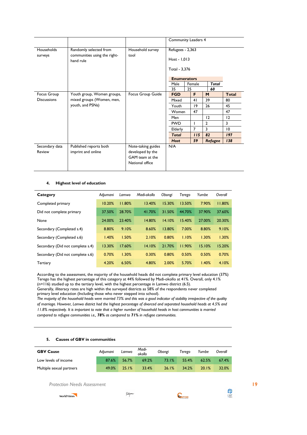|                          |                                              |                                                                              |                               | <b>Community Leaders 4</b> |                |                         |  |
|--------------------------|----------------------------------------------|------------------------------------------------------------------------------|-------------------------------|----------------------------|----------------|-------------------------|--|
| Households               | Randomly selected from                       | Household survey                                                             | Refugees - 2,363              |                            |                |                         |  |
| surveys                  | communities using the right-<br>hand rule    | tool                                                                         | Host - 1,013<br>Total - 3,376 |                            |                |                         |  |
|                          |                                              |                                                                              |                               |                            |                |                         |  |
|                          |                                              |                                                                              | <b>Enumerators</b>            |                            |                |                         |  |
|                          |                                              |                                                                              | Male<br>35                    | Female<br>25               | Total<br>60    |                         |  |
| Focus Group              | Youth group, Women groups,                   | Focus Group Guide                                                            | <b>FGD</b>                    | F                          | M              | <b>Total</b>            |  |
| <b>Discussions</b>       | mixed groups (Women, men,                    |                                                                              | Mixed                         | 41                         | 39             | 80                      |  |
|                          | youth, and PSNs)                             |                                                                              | Youth                         | $ 9\rangle$                | 26             | 45                      |  |
|                          |                                              |                                                                              | Women                         | 47                         |                | 47                      |  |
|                          |                                              |                                                                              | Men                           |                            | 12             | 12                      |  |
|                          |                                              |                                                                              | <b>PWD</b>                    |                            | $\overline{2}$ | $\overline{\mathbf{3}}$ |  |
|                          |                                              |                                                                              | Elderly                       | $\overline{7}$             | 3              | $\overline{10}$         |  |
|                          |                                              |                                                                              | <b>Total</b>                  | 115                        | 82             | 197                     |  |
|                          |                                              |                                                                              | <b>Host</b>                   | 59                         | Refugee        | 138                     |  |
| Secondary data<br>Review | Published reports both<br>imprint and online | Note-taking guides<br>developed by the<br>GAM team at the<br>National office | N/A                           |                            |                |                         |  |

#### **4. Highest level of education**

| Category                         | Adjumani | Lamwo  | Madi-okollo | Obongi | Terego | Yumbe  | Overall |
|----------------------------------|----------|--------|-------------|--------|--------|--------|---------|
| Completed primary                | 10.20%   | 11.80% | 13.40%      | 15.30% | 13.50% | 7.90%  | 11.80%  |
| Did not complete primary         | 37.50%   | 28.70% | 41.70%      | 31.50% | 44.70% | 37.90% | 37.60%  |
| None                             | 24.00%   | 23.40% | 14.80%      | 14.10% | 15.40% | 27.00% | 20.30%  |
| Secondary (Completed s.4)        | 8.80%    | 9.10%  | 8.60%       | 13.80% | 7.00%  | 8.80%  | 9.10%   |
| Secondary (Completed s.6)        | 1.40%    | 1.50%  | 2.10%       | 0.80%  | 1.10%  | 1.30%  | 1.30%   |
| Secondary (Did not complete s.4) | 13.30%   | 17.60% | 14.10%      | 21.70% | 11.90% | 15.10% | 15.20%  |
| Secondary (Did not complete s.6) | 0.70%    | 1.30%  | 0.30%       | 0.80%  | 0.50%  | 0.50%  | 0.70%   |
| <b>Tertiary</b>                  | 4.20%    | 6.50%  | 4.80%       | 2.00%  | 5.70%  | 1.40%  | 4.10%   |

According to the assessment, the majority of the household heads did not complete primary level education (37%) Terego has the highest percentage of this category at 44% followed by Madi-okollo at 41%. Overall, only 4.1% (n=116) studied up to the tertiary level, with the highest percentage in Lamwo district (6.5).

Generally, illiteracy rates are high within the surveyed districts as 58% of the respondents never completed primary level education (Including those who never stepped into school).

*The majority of the household heads were married 73% and this was a good indicator of stability irrespective of the quality of marriage. However, Lamwo district had the highest percentage of divorced and separated household heads at 4.5% and 11.8% respectively. It is important to note that a higher number of household heads in host communities is married compared to refugee communities i.e., 78% as compared to 71% in refugee communities.*

| <b>GBV Cause</b>                   | Adjumani | Lamwo    | Madi-<br>okollo | Obongi | Terego        | Yumbe | Overall  |
|------------------------------------|----------|----------|-----------------|--------|---------------|-------|----------|
| Low levels of income               | 87.6%    | 56.7%    | 69.2%           | 73.1%  | 55.4%         | 62.5% | 67.4%    |
| Multiple sexual partners           | 49.0%    | 25.1%    | 33.4%           | 26.1%  | 34.2%         | 20.1% | 32.0%    |
| <b>Protection Needs Assessment</b> |          |          |                 |        |               |       |          |
| <b>World Vision</b>                |          | tutapona |                 |        | <b>CARLON</b> |       | ♦<br>LWF |

#### **5. Causes of GBV in communities**